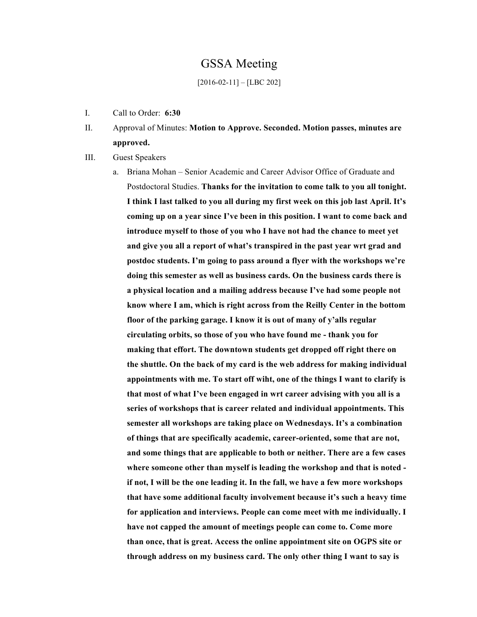## GSSA Meeting

#### [2016-02-11] – [LBC 202]

- I. Call to Order: **6:30**
- II. Approval of Minutes: **Motion to Approve. Seconded. Motion passes, minutes are approved.**
- III. Guest Speakers
	- a. Briana Mohan Senior Academic and Career Advisor Office of Graduate and Postdoctoral Studies. **Thanks for the invitation to come talk to you all tonight. I think I last talked to you all during my first week on this job last April. It's coming up on a year since I've been in this position. I want to come back and introduce myself to those of you who I have not had the chance to meet yet and give you all a report of what's transpired in the past year wrt grad and postdoc students. I'm going to pass around a flyer with the workshops we're doing this semester as well as business cards. On the business cards there is a physical location and a mailing address because I've had some people not know where I am, which is right across from the Reilly Center in the bottom floor of the parking garage. I know it is out of many of y'alls regular circulating orbits, so those of you who have found me - thank you for making that effort. The downtown students get dropped off right there on the shuttle. On the back of my card is the web address for making individual appointments with me. To start off wiht, one of the things I want to clarify is that most of what I've been engaged in wrt career advising with you all is a series of workshops that is career related and individual appointments. This semester all workshops are taking place on Wednesdays. It's a combination of things that are specifically academic, career-oriented, some that are not, and some things that are applicable to both or neither. There are a few cases where someone other than myself is leading the workshop and that is noted if not, I will be the one leading it. In the fall, we have a few more workshops that have some additional faculty involvement because it's such a heavy time for application and interviews. People can come meet with me individually. I have not capped the amount of meetings people can come to. Come more than once, that is great. Access the online appointment site on OGPS site or through address on my business card. The only other thing I want to say is**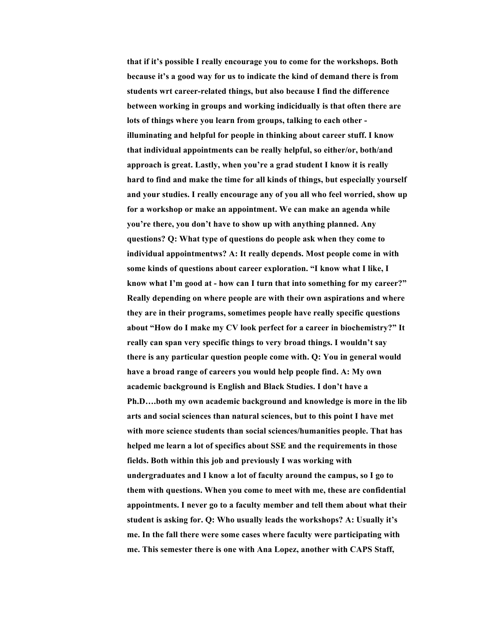**that if it's possible I really encourage you to come for the workshops. Both because it's a good way for us to indicate the kind of demand there is from students wrt career-related things, but also because I find the difference between working in groups and working indicidually is that often there are lots of things where you learn from groups, talking to each other illuminating and helpful for people in thinking about career stuff. I know that individual appointments can be really helpful, so either/or, both/and approach is great. Lastly, when you're a grad student I know it is really hard to find and make the time for all kinds of things, but especially yourself and your studies. I really encourage any of you all who feel worried, show up for a workshop or make an appointment. We can make an agenda while you're there, you don't have to show up with anything planned. Any questions? Q: What type of questions do people ask when they come to individual appointmentws? A: It really depends. Most people come in with some kinds of questions about career exploration. "I know what I like, I know what I'm good at - how can I turn that into something for my career?" Really depending on where people are with their own aspirations and where they are in their programs, sometimes people have really specific questions about "How do I make my CV look perfect for a career in biochemistry?" It really can span very specific things to very broad things. I wouldn't say there is any particular question people come with. Q: You in general would have a broad range of careers you would help people find. A: My own academic background is English and Black Studies. I don't have a Ph.D….both my own academic background and knowledge is more in the lib arts and social sciences than natural sciences, but to this point I have met with more science students than social sciences/humanities people. That has helped me learn a lot of specifics about SSE and the requirements in those fields. Both within this job and previously I was working with undergraduates and I know a lot of faculty around the campus, so I go to them with questions. When you come to meet with me, these are confidential appointments. I never go to a faculty member and tell them about what their student is asking for. Q: Who usually leads the workshops? A: Usually it's me. In the fall there were some cases where faculty were participating with me. This semester there is one with Ana Lopez, another with CAPS Staff,**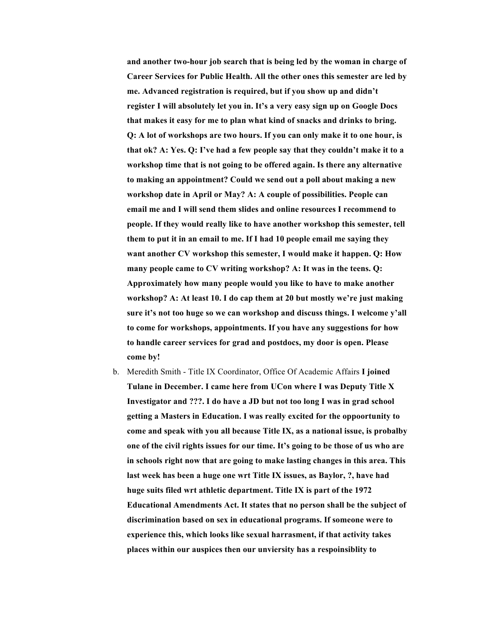**and another two-hour job search that is being led by the woman in charge of Career Services for Public Health. All the other ones this semester are led by me. Advanced registration is required, but if you show up and didn't register I will absolutely let you in. It's a very easy sign up on Google Docs that makes it easy for me to plan what kind of snacks and drinks to bring. Q: A lot of workshops are two hours. If you can only make it to one hour, is that ok? A: Yes. Q: I've had a few people say that they couldn't make it to a workshop time that is not going to be offered again. Is there any alternative to making an appointment? Could we send out a poll about making a new workshop date in April or May? A: A couple of possibilities. People can email me and I will send them slides and online resources I recommend to people. If they would really like to have another workshop this semester, tell them to put it in an email to me. If I had 10 people email me saying they want another CV workshop this semester, I would make it happen. Q: How many people came to CV writing workshop? A: It was in the teens. Q: Approximately how many people would you like to have to make another workshop? A: At least 10. I do cap them at 20 but mostly we're just making sure it's not too huge so we can workshop and discuss things. I welcome y'all to come for workshops, appointments. If you have any suggestions for how to handle career services for grad and postdocs, my door is open. Please come by!**

b. Meredith Smith - Title IX Coordinator, Office Of Academic Affairs **I joined Tulane in December. I came here from UCon where I was Deputy Title X Investigator and ???. I do have a JD but not too long I was in grad school getting a Masters in Education. I was really excited for the oppoortunity to come and speak with you all because Title IX, as a national issue, is probalby one of the civil rights issues for our time. It's going to be those of us who are in schools right now that are going to make lasting changes in this area. This last week has been a huge one wrt Title IX issues, as Baylor, ?, have had huge suits filed wrt athletic department. Title IX is part of the 1972 Educational Amendments Act. It states that no person shall be the subject of discrimination based on sex in educational programs. If someone were to experience this, which looks like sexual harrasment, if that activity takes places within our auspices then our unviersity has a respoinsiblity to**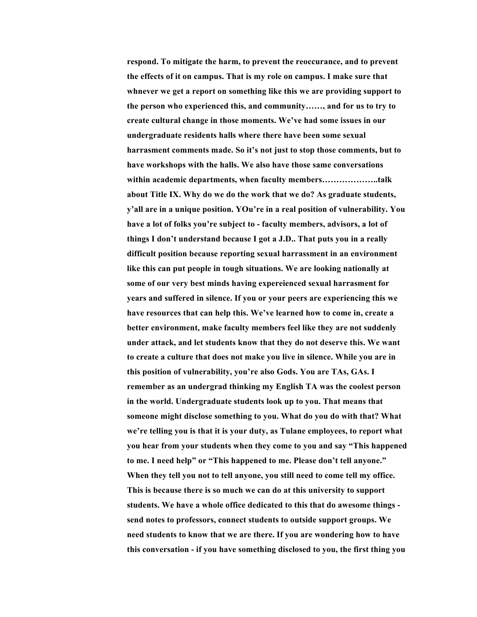**respond. To mitigate the harm, to prevent the reoccurance, and to prevent the effects of it on campus. That is my role on campus. I make sure that whnever we get a report on something like this we are providing support to the person who experienced this, and community……, and for us to try to create cultural change in those moments. We've had some issues in our undergraduate residents halls where there have been some sexual harrasment comments made. So it's not just to stop those comments, but to have workshops with the halls. We also have those same conversations within academic departments, when faculty members………………..talk about Title IX. Why do we do the work that we do? As graduate students, y'all are in a unique position. YOu're in a real position of vulnerability. You have a lot of folks you're subject to - faculty members, advisors, a lot of things I don't understand because I got a J.D.. That puts you in a really difficult position because reporting sexual harrassment in an environment like this can put people in tough situations. We are looking nationally at some of our very best minds having expereienced sexual harrasment for years and suffered in silence. If you or your peers are experiencing this we have resources that can help this. We've learned how to come in, create a better environment, make faculty members feel like they are not suddenly under attack, and let students know that they do not deserve this. We want to create a culture that does not make you live in silence. While you are in this position of vulnerability, you're also Gods. You are TAs, GAs. I remember as an undergrad thinking my English TA was the coolest person in the world. Undergraduate students look up to you. That means that someone might disclose something to you. What do you do with that? What we're telling you is that it is your duty, as Tulane employees, to report what you hear from your students when they come to you and say "This happened to me. I need help" or "This happened to me. Please don't tell anyone." When they tell you not to tell anyone, you still need to come tell my office. This is because there is so much we can do at this university to support students. We have a whole office dedicated to this that do awesome things send notes to professors, connect students to outside support groups. We need students to know that we are there. If you are wondering how to have this conversation - if you have something disclosed to you, the first thing you**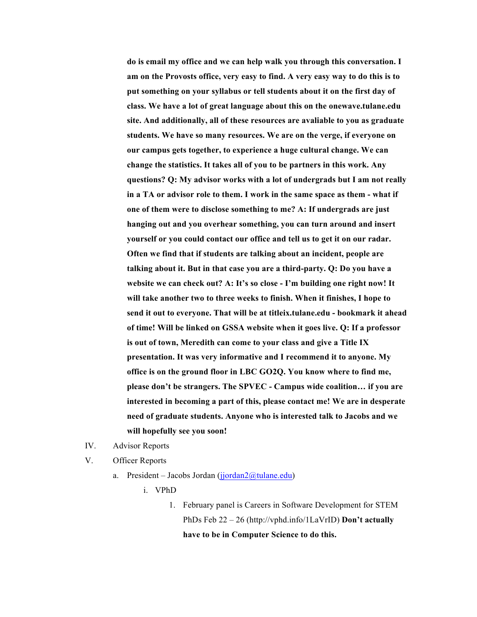**do is email my office and we can help walk you through this conversation. I am on the Provosts office, very easy to find. A very easy way to do this is to put something on your syllabus or tell students about it on the first day of class. We have a lot of great language about this on the onewave.tulane.edu site. And additionally, all of these resources are avaliable to you as graduate students. We have so many resources. We are on the verge, if everyone on our campus gets together, to experience a huge cultural change. We can change the statistics. It takes all of you to be partners in this work. Any questions? Q: My advisor works with a lot of undergrads but I am not really in a TA or advisor role to them. I work in the same space as them - what if one of them were to disclose something to me? A: If undergrads are just hanging out and you overhear something, you can turn around and insert yourself or you could contact our office and tell us to get it on our radar. Often we find that if students are talking about an incident, people are talking about it. But in that case you are a third-party. Q: Do you have a website we can check out? A: It's so close - I'm building one right now! It will take another two to three weeks to finish. When it finishes, I hope to send it out to everyone. That will be at titleix.tulane.edu - bookmark it ahead of time! Will be linked on GSSA website when it goes live. Q: If a professor is out of town, Meredith can come to your class and give a Title IX presentation. It was very informative and I recommend it to anyone. My office is on the ground floor in LBC GO2Q. You know where to find me, please don't be strangers. The SPVEC - Campus wide coalition… if you are interested in becoming a part of this, please contact me! We are in desperate need of graduate students. Anyone who is interested talk to Jacobs and we will hopefully see you soon!**

- IV. Advisor Reports
- V. Officer Reports
	- a. President Jacobs Jordan (jjordan $2@$ tulane.edu)
		- i. VPhD
			- 1. February panel is Careers in Software Development for STEM PhDs Feb 22 – 26 (http://vphd.info/1LaVrID) **Don't actually have to be in Computer Science to do this.**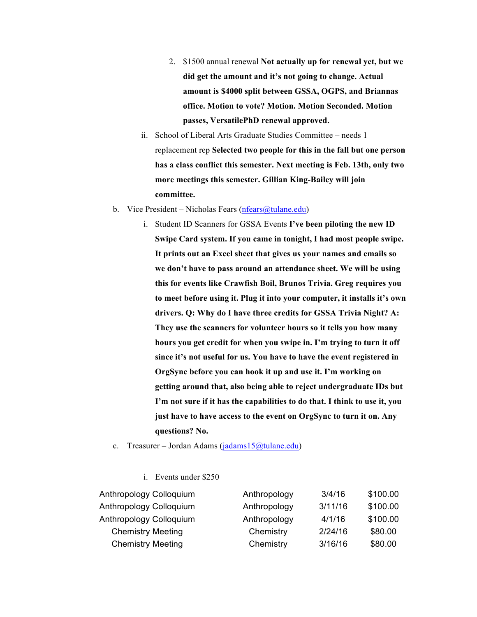- 2. \$1500 annual renewal **Not actually up for renewal yet, but we did get the amount and it's not going to change. Actual amount is \$4000 split between GSSA, OGPS, and Briannas office. Motion to vote? Motion. Motion Seconded. Motion passes, VersatilePhD renewal approved.**
- ii. School of Liberal Arts Graduate Studies Committee needs 1 replacement rep **Selected two people for this in the fall but one person has a class conflict this semester. Next meeting is Feb. 13th, only two more meetings this semester. Gillian King-Bailey will join committee.**
- b. Vice President Nicholas Fears (nfears  $@$ tulane.edu)
	- i. Student ID Scanners for GSSA Events **I've been piloting the new ID Swipe Card system. If you came in tonight, I had most people swipe. It prints out an Excel sheet that gives us your names and emails so we don't have to pass around an attendance sheet. We will be using this for events like Crawfish Boil, Brunos Trivia. Greg requires you to meet before using it. Plug it into your computer, it installs it's own drivers. Q: Why do I have three credits for GSSA Trivia Night? A: They use the scanners for volunteer hours so it tells you how many hours you get credit for when you swipe in. I'm trying to turn it off since it's not useful for us. You have to have the event registered in OrgSync before you can hook it up and use it. I'm working on getting around that, also being able to reject undergraduate IDs but I'm not sure if it has the capabilities to do that. I think to use it, you just have to have access to the event on OrgSync to turn it on. Any questions? No.**
- c. Treasurer Jordan Adams (jadams15@tulane.edu)
	- i. Events under \$250

| Anthropology Colloquium  | Anthropology | 3/4/16  | \$100.00 |
|--------------------------|--------------|---------|----------|
| Anthropology Colloquium  | Anthropology | 3/11/16 | \$100.00 |
| Anthropology Colloquium  | Anthropology | 4/1/16  | \$100.00 |
| <b>Chemistry Meeting</b> | Chemistry    | 2/24/16 | \$80.00  |
| <b>Chemistry Meeting</b> | Chemistry    | 3/16/16 | \$80.00  |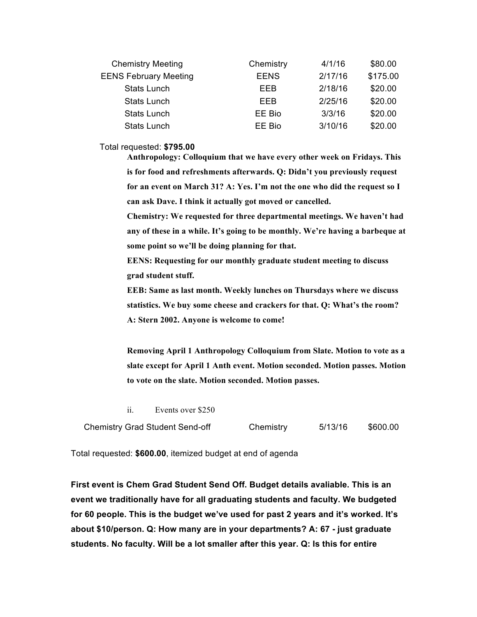| <b>Chemistry Meeting</b>     | Chemistry   | 4/1/16  | \$80.00  |  |
|------------------------------|-------------|---------|----------|--|
| <b>EENS February Meeting</b> | <b>EENS</b> | 2/17/16 | \$175.00 |  |
| <b>Stats Lunch</b>           | <b>EEB</b>  | 2/18/16 | \$20.00  |  |
| <b>Stats Lunch</b>           | EEB         | 2/25/16 | \$20.00  |  |
| <b>Stats Lunch</b>           | EE Bio      | 3/3/16  | \$20.00  |  |
| <b>Stats Lunch</b>           | EE Bio      | 3/10/16 | \$20.00  |  |

#### Total requested: **\$795.00**

**Anthropology: Colloquium that we have every other week on Fridays. This is for food and refreshments afterwards. Q: Didn't you previously request for an event on March 31? A: Yes. I'm not the one who did the request so I can ask Dave. I think it actually got moved or cancelled.** 

**Chemistry: We requested for three departmental meetings. We haven't had any of these in a while. It's going to be monthly. We're having a barbeque at some point so we'll be doing planning for that.** 

**EENS: Requesting for our monthly graduate student meeting to discuss grad student stuff.** 

**EEB: Same as last month. Weekly lunches on Thursdays where we discuss statistics. We buy some cheese and crackers for that. Q: What's the room? A: Stern 2002. Anyone is welcome to come!** 

**Removing April 1 Anthropology Colloquium from Slate. Motion to vote as a slate except for April 1 Anth event. Motion seconded. Motion passes. Motion to vote on the slate. Motion seconded. Motion passes.** 

ii. Events over \$250

| <b>Chemistry Grad Student Send-off</b> | Chemistry | 5/13/16 | \$600.00 |
|----------------------------------------|-----------|---------|----------|
|----------------------------------------|-----------|---------|----------|

Total requested: **\$600.00**, itemized budget at end of agenda

**First event is Chem Grad Student Send Off. Budget details avaliable. This is an event we traditionally have for all graduating students and faculty. We budgeted for 60 people. This is the budget we've used for past 2 years and it's worked. It's about \$10/person. Q: How many are in your departments? A: 67 - just graduate students. No faculty. Will be a lot smaller after this year. Q: Is this for entire**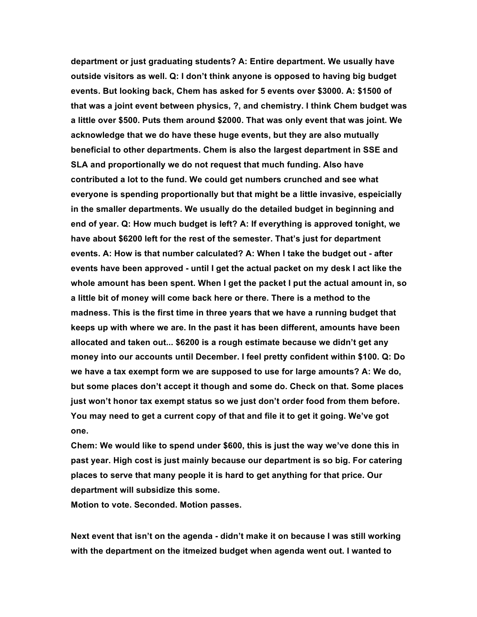**department or just graduating students? A: Entire department. We usually have outside visitors as well. Q: I don't think anyone is opposed to having big budget events. But looking back, Chem has asked for 5 events over \$3000. A: \$1500 of that was a joint event between physics, ?, and chemistry. I think Chem budget was a little over \$500. Puts them around \$2000. That was only event that was joint. We acknowledge that we do have these huge events, but they are also mutually beneficial to other departments. Chem is also the largest department in SSE and SLA and proportionally we do not request that much funding. Also have contributed a lot to the fund. We could get numbers crunched and see what everyone is spending proportionally but that might be a little invasive, espeicially in the smaller departments. We usually do the detailed budget in beginning and end of year. Q: How much budget is left? A: If everything is approved tonight, we have about \$6200 left for the rest of the semester. That's just for department events. A: How is that number calculated? A: When I take the budget out - after events have been approved - until I get the actual packet on my desk I act like the whole amount has been spent. When I get the packet I put the actual amount in, so a little bit of money will come back here or there. There is a method to the madness. This is the first time in three years that we have a running budget that keeps up with where we are. In the past it has been different, amounts have been allocated and taken out... \$6200 is a rough estimate because we didn't get any money into our accounts until December. I feel pretty confident within \$100. Q: Do we have a tax exempt form we are supposed to use for large amounts? A: We do, but some places don't accept it though and some do. Check on that. Some places just won't honor tax exempt status so we just don't order food from them before. You may need to get a current copy of that and file it to get it going. We've got one.** 

**Chem: We would like to spend under \$600, this is just the way we've done this in past year. High cost is just mainly because our department is so big. For catering places to serve that many people it is hard to get anything for that price. Our department will subsidize this some.** 

**Motion to vote. Seconded. Motion passes.** 

**Next event that isn't on the agenda - didn't make it on because I was still working with the department on the itmeized budget when agenda went out. I wanted to**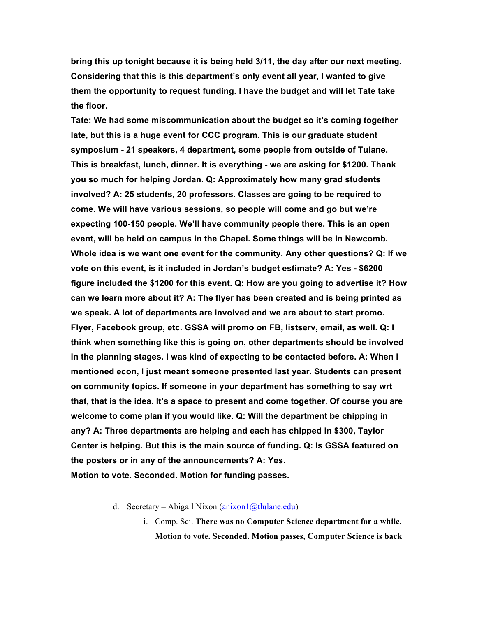**bring this up tonight because it is being held 3/11, the day after our next meeting. Considering that this is this department's only event all year, I wanted to give them the opportunity to request funding. I have the budget and will let Tate take the floor.**

**Tate: We had some miscommunication about the budget so it's coming together late, but this is a huge event for CCC program. This is our graduate student symposium - 21 speakers, 4 department, some people from outside of Tulane. This is breakfast, lunch, dinner. It is everything - we are asking for \$1200. Thank you so much for helping Jordan. Q: Approximately how many grad students involved? A: 25 students, 20 professors. Classes are going to be required to come. We will have various sessions, so people will come and go but we're expecting 100-150 people. We'll have community people there. This is an open event, will be held on campus in the Chapel. Some things will be in Newcomb. Whole idea is we want one event for the community. Any other questions? Q: If we vote on this event, is it included in Jordan's budget estimate? A: Yes - \$6200 figure included the \$1200 for this event. Q: How are you going to advertise it? How can we learn more about it? A: The flyer has been created and is being printed as we speak. A lot of departments are involved and we are about to start promo. Flyer, Facebook group, etc. GSSA will promo on FB, listserv, email, as well. Q: I think when something like this is going on, other departments should be involved in the planning stages. I was kind of expecting to be contacted before. A: When I mentioned econ, I just meant someone presented last year. Students can present on community topics. If someone in your department has something to say wrt that, that is the idea. It's a space to present and come together. Of course you are welcome to come plan if you would like. Q: Will the department be chipping in any? A: Three departments are helping and each has chipped in \$300, Taylor Center is helping. But this is the main source of funding. Q: Is GSSA featured on the posters or in any of the announcements? A: Yes.** 

**Motion to vote. Seconded. Motion for funding passes.** 

- d. Secretary Abigail Nixon (anixon1@tlulane.edu)
	- i. Comp. Sci. **There was no Computer Science department for a while. Motion to vote. Seconded. Motion passes, Computer Science is back**